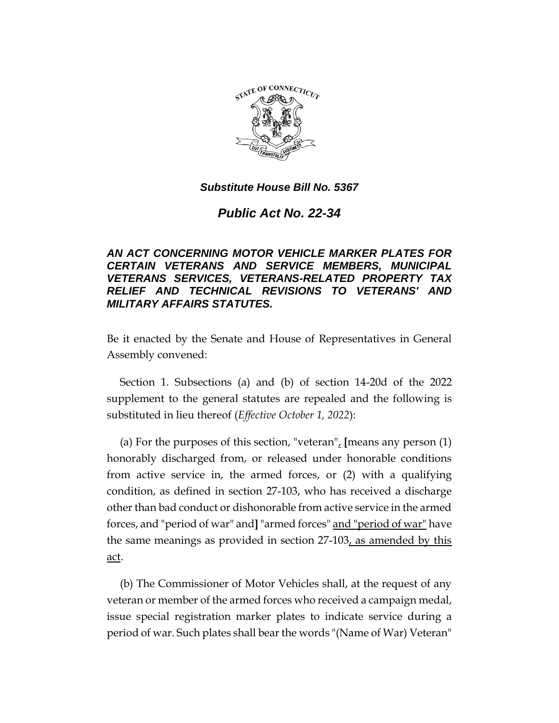

# *Public Act No. 22-34*

# *AN ACT CONCERNING MOTOR VEHICLE MARKER PLATES FOR CERTAIN VETERANS AND SERVICE MEMBERS, MUNICIPAL VETERANS SERVICES, VETERANS-RELATED PROPERTY TAX RELIEF AND TECHNICAL REVISIONS TO VETERANS' AND MILITARY AFFAIRS STATUTES.*

Be it enacted by the Senate and House of Representatives in General Assembly convened:

Section 1. Subsections (a) and (b) of section 14-20d of the 2022 supplement to the general statutes are repealed and the following is substituted in lieu thereof (*Effective October 1, 2022*):

(a) For the purposes of this section, "veteran", **[**means any person (1) honorably discharged from, or released under honorable conditions from active service in, the armed forces, or (2) with a qualifying condition, as defined in section 27-103, who has received a discharge other than bad conduct or dishonorable from active service in the armed forces, and "period of war" and**]** "armed forces" and "period of war" have the same meanings as provided in section 27-103, as amended by this act.

(b) The Commissioner of Motor Vehicles shall, at the request of any veteran or member of the armed forces who received a campaign medal, issue special registration marker plates to indicate service during a period of war. Such plates shall bear the words "(Name of War) Veteran"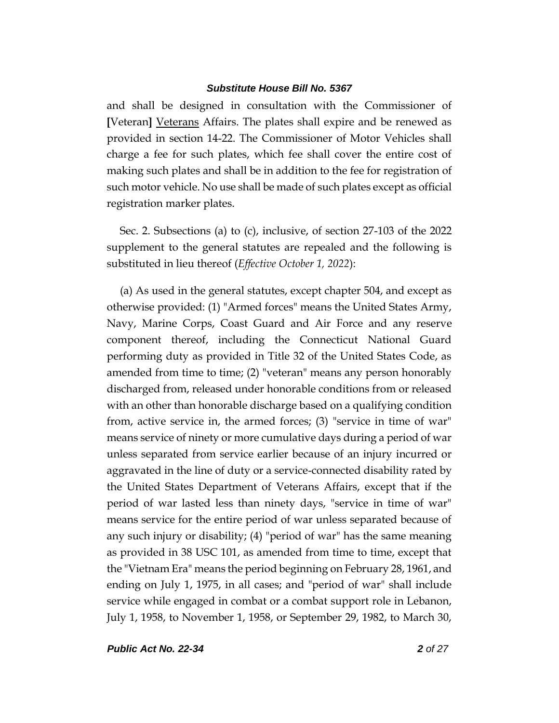and shall be designed in consultation with the Commissioner of **[**Veteran**]** Veterans Affairs. The plates shall expire and be renewed as provided in section 14-22. The Commissioner of Motor Vehicles shall charge a fee for such plates, which fee shall cover the entire cost of making such plates and shall be in addition to the fee for registration of such motor vehicle. No use shall be made of such plates except as official registration marker plates.

Sec. 2. Subsections (a) to (c), inclusive, of section 27-103 of the 2022 supplement to the general statutes are repealed and the following is substituted in lieu thereof (*Effective October 1, 2022*):

(a) As used in the general statutes, except chapter 504, and except as otherwise provided: (1) "Armed forces" means the United States Army, Navy, Marine Corps, Coast Guard and Air Force and any reserve component thereof, including the Connecticut National Guard performing duty as provided in Title 32 of the United States Code, as amended from time to time; (2) "veteran" means any person honorably discharged from, released under honorable conditions from or released with an other than honorable discharge based on a qualifying condition from, active service in, the armed forces; (3) "service in time of war" means service of ninety or more cumulative days during a period of war unless separated from service earlier because of an injury incurred or aggravated in the line of duty or a service-connected disability rated by the United States Department of Veterans Affairs, except that if the period of war lasted less than ninety days, "service in time of war" means service for the entire period of war unless separated because of any such injury or disability; (4) "period of war" has the same meaning as provided in 38 USC 101, as amended from time to time, except that the "Vietnam Era" means the period beginning on February 28, 1961, and ending on July 1, 1975, in all cases; and "period of war" shall include service while engaged in combat or a combat support role in Lebanon, July 1, 1958, to November 1, 1958, or September 29, 1982, to March 30,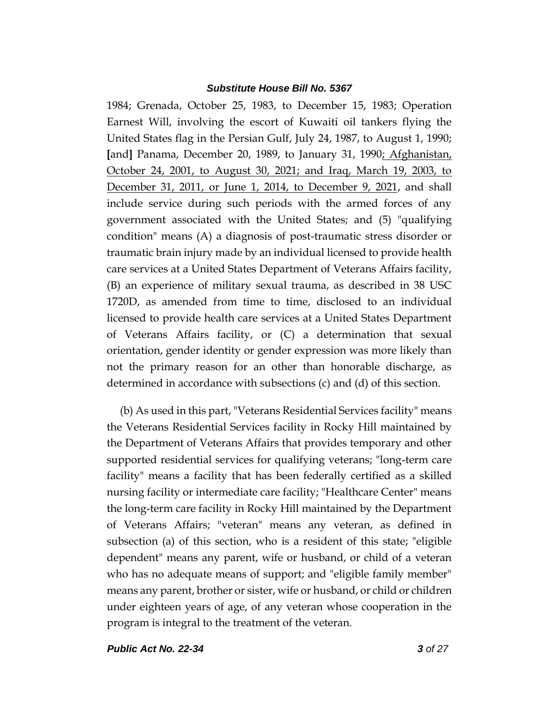1984; Grenada, October 25, 1983, to December 15, 1983; Operation Earnest Will, involving the escort of Kuwaiti oil tankers flying the United States flag in the Persian Gulf, July 24, 1987, to August 1, 1990; **[**and**]** Panama, December 20, 1989, to January 31, 1990; Afghanistan, October 24, 2001, to August 30, 2021; and Iraq, March 19, 2003, to December 31, 2011, or June 1, 2014, to December 9, 2021, and shall include service during such periods with the armed forces of any government associated with the United States; and (5) "qualifying condition" means (A) a diagnosis of post-traumatic stress disorder or traumatic brain injury made by an individual licensed to provide health care services at a United States Department of Veterans Affairs facility, (B) an experience of military sexual trauma, as described in 38 USC 1720D, as amended from time to time, disclosed to an individual licensed to provide health care services at a United States Department of Veterans Affairs facility, or (C) a determination that sexual orientation, gender identity or gender expression was more likely than not the primary reason for an other than honorable discharge, as determined in accordance with subsections (c) and (d) of this section.

(b) As used in this part, "Veterans Residential Services facility" means the Veterans Residential Services facility in Rocky Hill maintained by the Department of Veterans Affairs that provides temporary and other supported residential services for qualifying veterans; "long-term care facility" means a facility that has been federally certified as a skilled nursing facility or intermediate care facility; "Healthcare Center" means the long-term care facility in Rocky Hill maintained by the Department of Veterans Affairs; "veteran" means any veteran, as defined in subsection (a) of this section, who is a resident of this state; "eligible dependent" means any parent, wife or husband, or child of a veteran who has no adequate means of support; and "eligible family member" means any parent, brother or sister, wife or husband, or child or children under eighteen years of age, of any veteran whose cooperation in the program is integral to the treatment of the veteran.

*Public Act No. 22-34 3 of 27*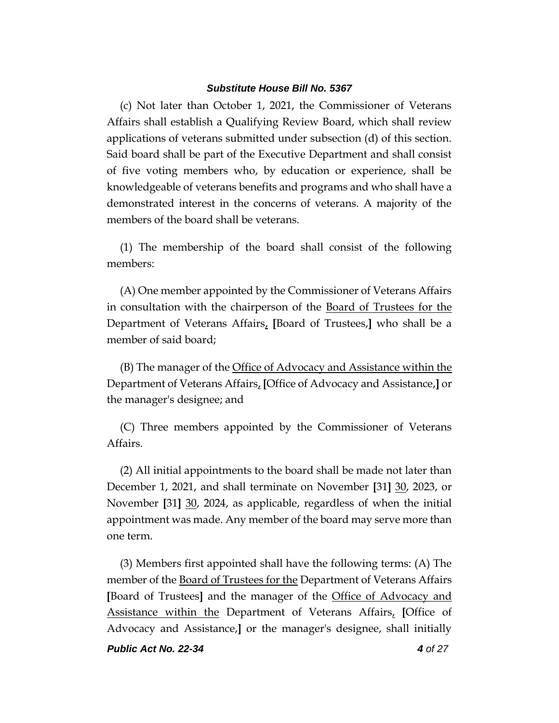(c) Not later than October 1, 2021, the Commissioner of Veterans Affairs shall establish a Qualifying Review Board, which shall review applications of veterans submitted under subsection (d) of this section. Said board shall be part of the Executive Department and shall consist of five voting members who, by education or experience, shall be knowledgeable of veterans benefits and programs and who shall have a demonstrated interest in the concerns of veterans. A majority of the members of the board shall be veterans.

(1) The membership of the board shall consist of the following members:

(A) One member appointed by the Commissioner of Veterans Affairs in consultation with the chairperson of the Board of Trustees for the Department of Veterans Affairs, **[**Board of Trustees,**]** who shall be a member of said board;

(B) The manager of the Office of Advocacy and Assistance within the Department of Veterans Affairs, **[**Office of Advocacy and Assistance,**]** or the manager's designee; and

(C) Three members appointed by the Commissioner of Veterans Affairs.

(2) All initial appointments to the board shall be made not later than December 1, 2021, and shall terminate on November **[**31**]** 30, 2023, or November **[**31**]** 30, 2024, as applicable, regardless of when the initial appointment was made. Any member of the board may serve more than one term.

(3) Members first appointed shall have the following terms: (A) The member of the Board of Trustees for the Department of Veterans Affairs **[**Board of Trustees**]** and the manager of the Office of Advocacy and Assistance within the Department of Veterans Affairs, **[**Office of Advocacy and Assistance,**]** or the manager's designee, shall initially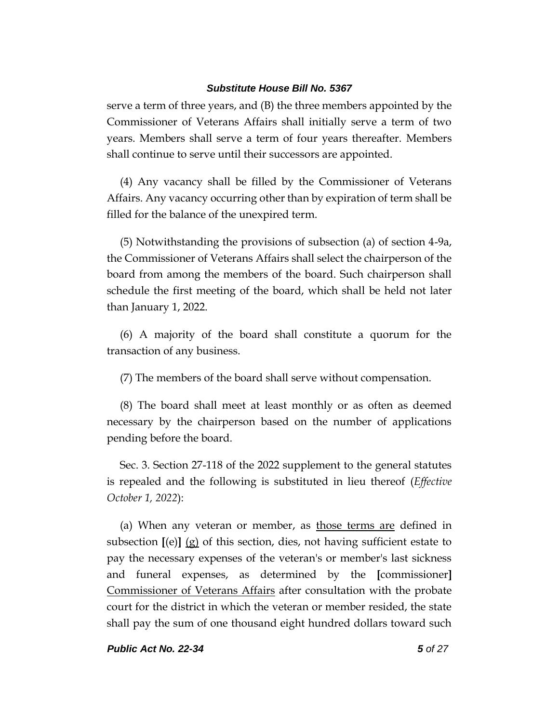serve a term of three years, and (B) the three members appointed by the Commissioner of Veterans Affairs shall initially serve a term of two years. Members shall serve a term of four years thereafter. Members shall continue to serve until their successors are appointed.

(4) Any vacancy shall be filled by the Commissioner of Veterans Affairs. Any vacancy occurring other than by expiration of term shall be filled for the balance of the unexpired term.

(5) Notwithstanding the provisions of subsection (a) of section 4-9a, the Commissioner of Veterans Affairs shall select the chairperson of the board from among the members of the board. Such chairperson shall schedule the first meeting of the board, which shall be held not later than January 1, 2022.

(6) A majority of the board shall constitute a quorum for the transaction of any business.

(7) The members of the board shall serve without compensation.

(8) The board shall meet at least monthly or as often as deemed necessary by the chairperson based on the number of applications pending before the board.

Sec. 3. Section 27-118 of the 2022 supplement to the general statutes is repealed and the following is substituted in lieu thereof (*Effective October 1, 2022*):

(a) When any veteran or member, as those terms are defined in subsection **[**(e)**]** (g) of this section, dies, not having sufficient estate to pay the necessary expenses of the veteran's or member's last sickness and funeral expenses, as determined by the **[**commissioner**]** Commissioner of Veterans Affairs after consultation with the probate court for the district in which the veteran or member resided, the state shall pay the sum of one thousand eight hundred dollars toward such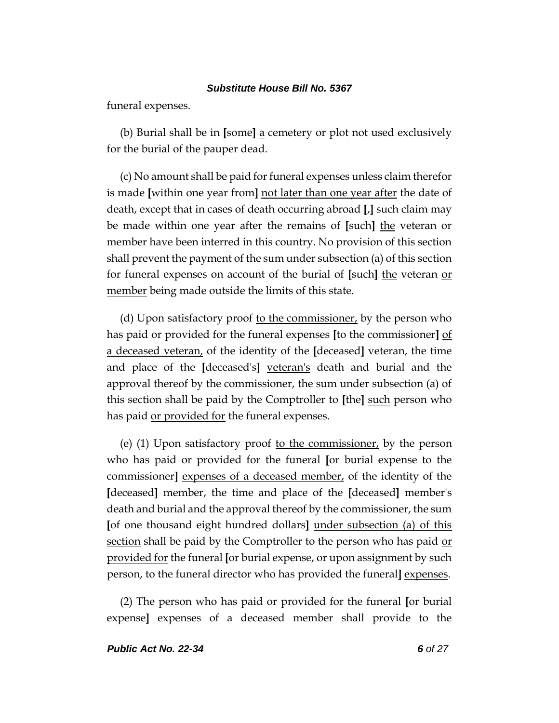funeral expenses.

(b) Burial shall be in **[**some**]** a cemetery or plot not used exclusively for the burial of the pauper dead.

(c) No amount shall be paid for funeral expenses unless claim therefor is made **[**within one year from**]** not later than one year after the date of death, except that in cases of death occurring abroad **[**,**]** such claim may be made within one year after the remains of **[**such**]** the veteran or member have been interred in this country. No provision of this section shall prevent the payment of the sum under subsection (a) of this section for funeral expenses on account of the burial of **[**such**]** the veteran or member being made outside the limits of this state.

(d) Upon satisfactory proof to the commissioner, by the person who has paid or provided for the funeral expenses **[**to the commissioner**]** of a deceased veteran, of the identity of the **[**deceased**]** veteran, the time and place of the **[**deceased's**]** veteran's death and burial and the approval thereof by the commissioner, the sum under subsection (a) of this section shall be paid by the Comptroller to **[**the**]** such person who has paid or provided for the funeral expenses.

(e)  $(1)$  Upon satisfactory proof to the commissioner, by the person who has paid or provided for the funeral **[**or burial expense to the commissioner**]** expenses of a deceased member, of the identity of the **[**deceased**]** member, the time and place of the **[**deceased**]** member's death and burial and the approval thereof by the commissioner, the sum **[**of one thousand eight hundred dollars**]** under subsection (a) of this section shall be paid by the Comptroller to the person who has paid or provided for the funeral **[**or burial expense, or upon assignment by such person, to the funeral director who has provided the funeral**]** expenses.

(2) The person who has paid or provided for the funeral **[**or burial expense**]** expenses of a deceased member shall provide to the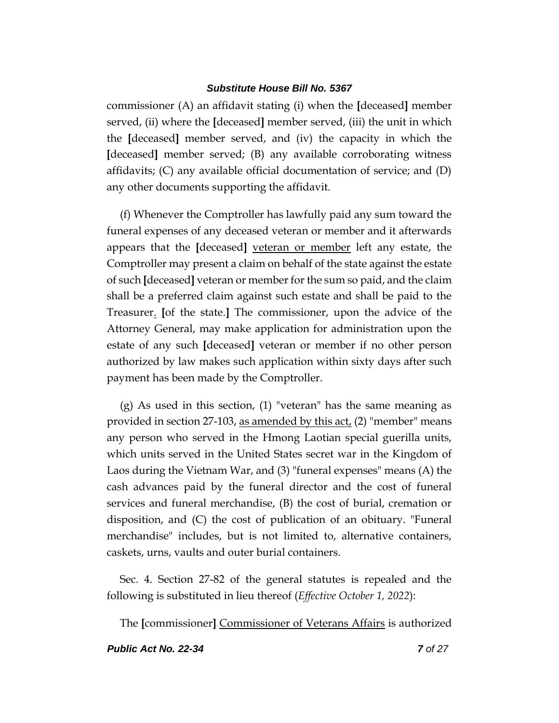commissioner (A) an affidavit stating (i) when the **[**deceased**]** member served, (ii) where the **[**deceased**]** member served, (iii) the unit in which the **[**deceased**]** member served, and (iv) the capacity in which the **[**deceased**]** member served; (B) any available corroborating witness affidavits; (C) any available official documentation of service; and (D) any other documents supporting the affidavit.

(f) Whenever the Comptroller has lawfully paid any sum toward the funeral expenses of any deceased veteran or member and it afterwards appears that the **[**deceased**]** veteran or member left any estate, the Comptroller may present a claim on behalf of the state against the estate of such **[**deceased**]** veteran or member for the sum so paid, and the claim shall be a preferred claim against such estate and shall be paid to the Treasurer. **[**of the state.**]** The commissioner, upon the advice of the Attorney General, may make application for administration upon the estate of any such **[**deceased**]** veteran or member if no other person authorized by law makes such application within sixty days after such payment has been made by the Comptroller.

(g) As used in this section, (1) "veteran" has the same meaning as provided in section 27-103, as amended by this act, (2) "member" means any person who served in the Hmong Laotian special guerilla units, which units served in the United States secret war in the Kingdom of Laos during the Vietnam War, and (3) "funeral expenses" means (A) the cash advances paid by the funeral director and the cost of funeral services and funeral merchandise, (B) the cost of burial, cremation or disposition, and (C) the cost of publication of an obituary. "Funeral merchandise" includes, but is not limited to, alternative containers, caskets, urns, vaults and outer burial containers.

Sec. 4. Section 27-82 of the general statutes is repealed and the following is substituted in lieu thereof (*Effective October 1, 2022*):

The **[**commissioner**]** Commissioner of Veterans Affairs is authorized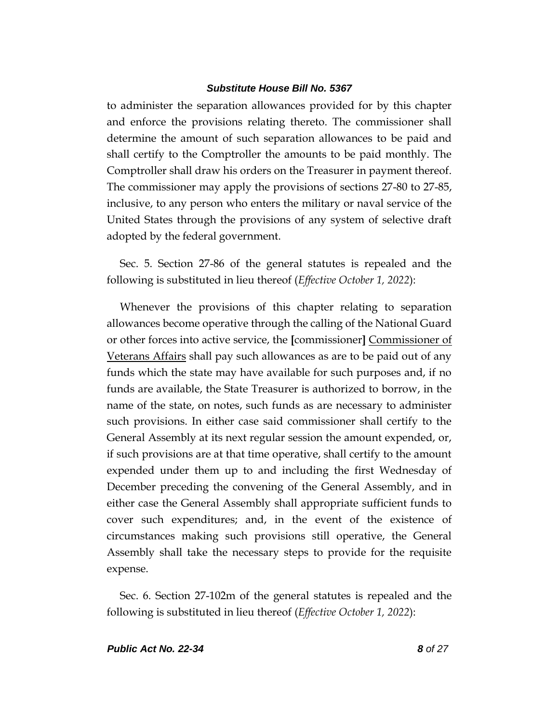to administer the separation allowances provided for by this chapter and enforce the provisions relating thereto. The commissioner shall determine the amount of such separation allowances to be paid and shall certify to the Comptroller the amounts to be paid monthly. The Comptroller shall draw his orders on the Treasurer in payment thereof. The commissioner may apply the provisions of sections 27-80 to 27-85, inclusive, to any person who enters the military or naval service of the United States through the provisions of any system of selective draft adopted by the federal government.

Sec. 5. Section 27-86 of the general statutes is repealed and the following is substituted in lieu thereof (*Effective October 1, 2022*):

Whenever the provisions of this chapter relating to separation allowances become operative through the calling of the National Guard or other forces into active service, the **[**commissioner**]** Commissioner of Veterans Affairs shall pay such allowances as are to be paid out of any funds which the state may have available for such purposes and, if no funds are available, the State Treasurer is authorized to borrow, in the name of the state, on notes, such funds as are necessary to administer such provisions. In either case said commissioner shall certify to the General Assembly at its next regular session the amount expended, or, if such provisions are at that time operative, shall certify to the amount expended under them up to and including the first Wednesday of December preceding the convening of the General Assembly, and in either case the General Assembly shall appropriate sufficient funds to cover such expenditures; and, in the event of the existence of circumstances making such provisions still operative, the General Assembly shall take the necessary steps to provide for the requisite expense.

Sec. 6. Section 27-102m of the general statutes is repealed and the following is substituted in lieu thereof (*Effective October 1, 2022*):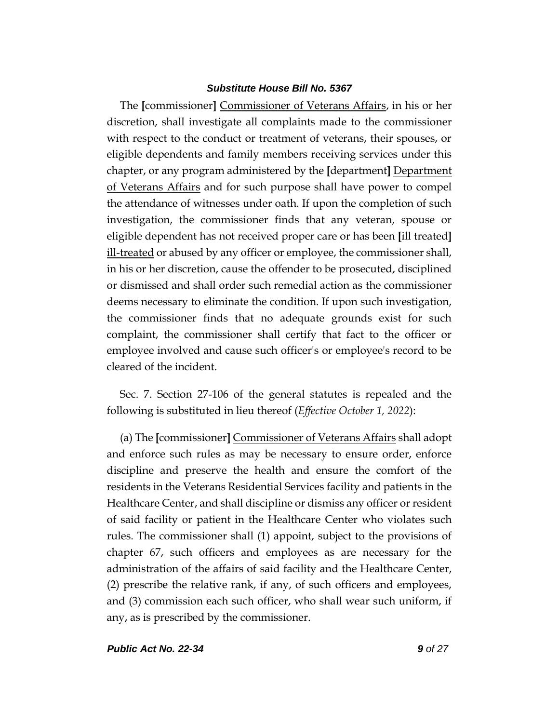The **[**commissioner**]** Commissioner of Veterans Affairs, in his or her discretion, shall investigate all complaints made to the commissioner with respect to the conduct or treatment of veterans, their spouses, or eligible dependents and family members receiving services under this chapter, or any program administered by the **[**department**]** Department of Veterans Affairs and for such purpose shall have power to compel the attendance of witnesses under oath. If upon the completion of such investigation, the commissioner finds that any veteran, spouse or eligible dependent has not received proper care or has been **[**ill treated**]** ill-treated or abused by any officer or employee, the commissioner shall, in his or her discretion, cause the offender to be prosecuted, disciplined or dismissed and shall order such remedial action as the commissioner deems necessary to eliminate the condition. If upon such investigation, the commissioner finds that no adequate grounds exist for such complaint, the commissioner shall certify that fact to the officer or employee involved and cause such officer's or employee's record to be cleared of the incident.

Sec. 7. Section 27-106 of the general statutes is repealed and the following is substituted in lieu thereof (*Effective October 1, 2022*):

(a) The **[**commissioner**]** Commissioner of Veterans Affairs shall adopt and enforce such rules as may be necessary to ensure order, enforce discipline and preserve the health and ensure the comfort of the residents in the Veterans Residential Services facility and patients in the Healthcare Center, and shall discipline or dismiss any officer or resident of said facility or patient in the Healthcare Center who violates such rules. The commissioner shall (1) appoint, subject to the provisions of chapter 67, such officers and employees as are necessary for the administration of the affairs of said facility and the Healthcare Center, (2) prescribe the relative rank, if any, of such officers and employees, and (3) commission each such officer, who shall wear such uniform, if any, as is prescribed by the commissioner.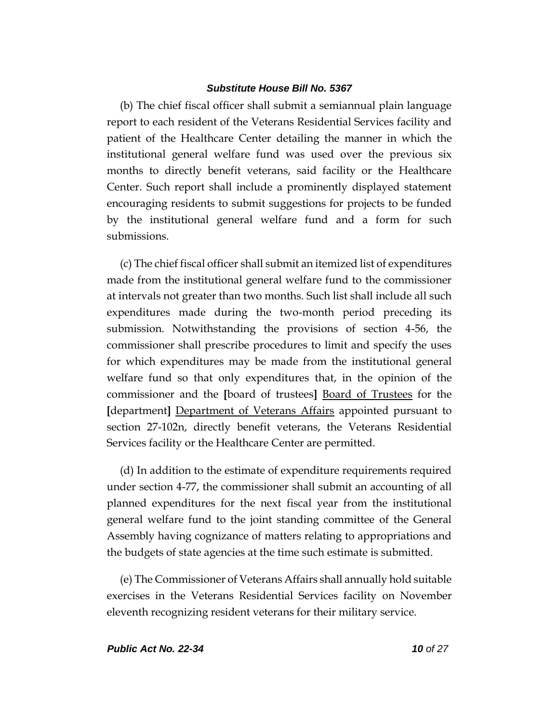(b) The chief fiscal officer shall submit a semiannual plain language report to each resident of the Veterans Residential Services facility and patient of the Healthcare Center detailing the manner in which the institutional general welfare fund was used over the previous six months to directly benefit veterans, said facility or the Healthcare Center. Such report shall include a prominently displayed statement encouraging residents to submit suggestions for projects to be funded by the institutional general welfare fund and a form for such submissions.

(c) The chief fiscal officer shall submit an itemized list of expenditures made from the institutional general welfare fund to the commissioner at intervals not greater than two months. Such list shall include all such expenditures made during the two-month period preceding its submission. Notwithstanding the provisions of section 4-56, the commissioner shall prescribe procedures to limit and specify the uses for which expenditures may be made from the institutional general welfare fund so that only expenditures that, in the opinion of the commissioner and the **[**board of trustees**]** Board of Trustees for the **[**department**]** Department of Veterans Affairs appointed pursuant to section 27-102n, directly benefit veterans, the Veterans Residential Services facility or the Healthcare Center are permitted.

(d) In addition to the estimate of expenditure requirements required under section 4-77, the commissioner shall submit an accounting of all planned expenditures for the next fiscal year from the institutional general welfare fund to the joint standing committee of the General Assembly having cognizance of matters relating to appropriations and the budgets of state agencies at the time such estimate is submitted.

(e) The Commissioner of Veterans Affairs shall annually hold suitable exercises in the Veterans Residential Services facility on November eleventh recognizing resident veterans for their military service.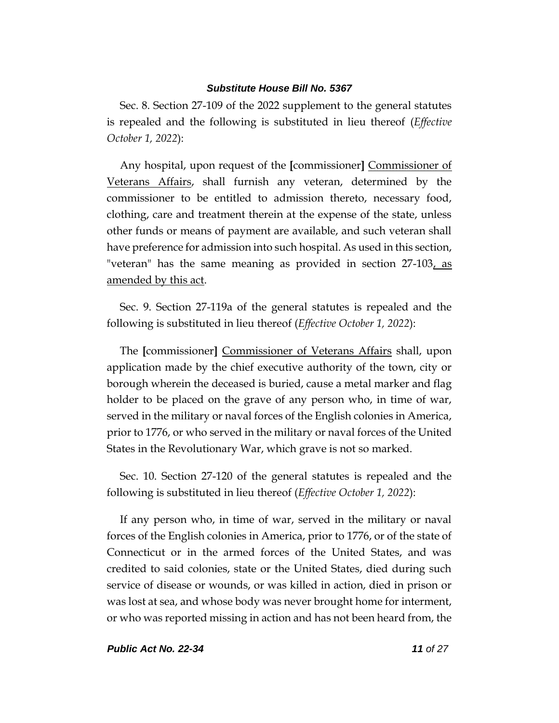Sec. 8. Section 27-109 of the 2022 supplement to the general statutes is repealed and the following is substituted in lieu thereof (*Effective October 1, 2022*):

Any hospital, upon request of the **[**commissioner**]** Commissioner of Veterans Affairs, shall furnish any veteran, determined by the commissioner to be entitled to admission thereto, necessary food, clothing, care and treatment therein at the expense of the state, unless other funds or means of payment are available, and such veteran shall have preference for admission into such hospital. As used in this section, "veteran" has the same meaning as provided in section 27-103, as amended by this act.

Sec. 9. Section 27-119a of the general statutes is repealed and the following is substituted in lieu thereof (*Effective October 1, 2022*):

The **[**commissioner**]** Commissioner of Veterans Affairs shall, upon application made by the chief executive authority of the town, city or borough wherein the deceased is buried, cause a metal marker and flag holder to be placed on the grave of any person who, in time of war, served in the military or naval forces of the English colonies in America, prior to 1776, or who served in the military or naval forces of the United States in the Revolutionary War, which grave is not so marked.

Sec. 10. Section 27-120 of the general statutes is repealed and the following is substituted in lieu thereof (*Effective October 1, 2022*):

If any person who, in time of war, served in the military or naval forces of the English colonies in America, prior to 1776, or of the state of Connecticut or in the armed forces of the United States, and was credited to said colonies, state or the United States, died during such service of disease or wounds, or was killed in action, died in prison or was lost at sea, and whose body was never brought home for interment, or who was reported missing in action and has not been heard from, the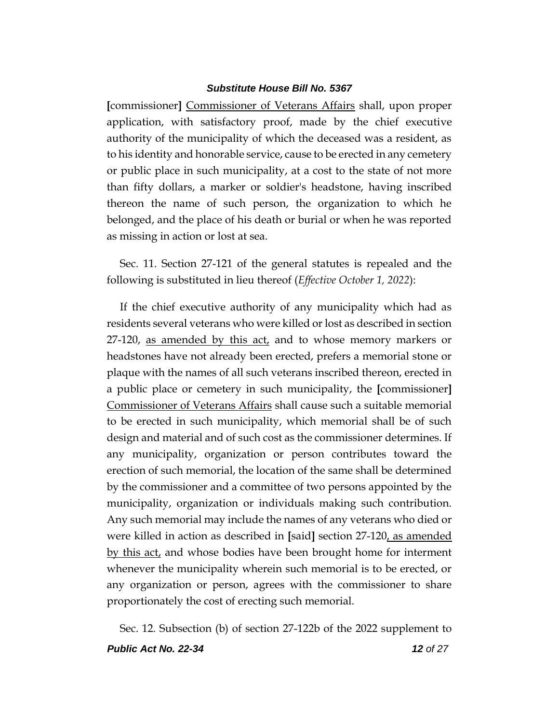**[**commissioner**]** Commissioner of Veterans Affairs shall, upon proper application, with satisfactory proof, made by the chief executive authority of the municipality of which the deceased was a resident, as to his identity and honorable service, cause to be erected in any cemetery or public place in such municipality, at a cost to the state of not more than fifty dollars, a marker or soldier's headstone, having inscribed thereon the name of such person, the organization to which he belonged, and the place of his death or burial or when he was reported as missing in action or lost at sea.

Sec. 11. Section 27-121 of the general statutes is repealed and the following is substituted in lieu thereof (*Effective October 1, 2022*):

If the chief executive authority of any municipality which had as residents several veterans who were killed or lost as described in section 27-120, as amended by this act, and to whose memory markers or headstones have not already been erected, prefers a memorial stone or plaque with the names of all such veterans inscribed thereon, erected in a public place or cemetery in such municipality, the **[**commissioner**]** Commissioner of Veterans Affairs shall cause such a suitable memorial to be erected in such municipality, which memorial shall be of such design and material and of such cost as the commissioner determines. If any municipality, organization or person contributes toward the erection of such memorial, the location of the same shall be determined by the commissioner and a committee of two persons appointed by the municipality, organization or individuals making such contribution. Any such memorial may include the names of any veterans who died or were killed in action as described in **[**said**]** section 27-120, as amended by this act, and whose bodies have been brought home for interment whenever the municipality wherein such memorial is to be erected, or any organization or person, agrees with the commissioner to share proportionately the cost of erecting such memorial.

*Public Act No. 22-34 12 of 27* Sec. 12. Subsection (b) of section 27-122b of the 2022 supplement to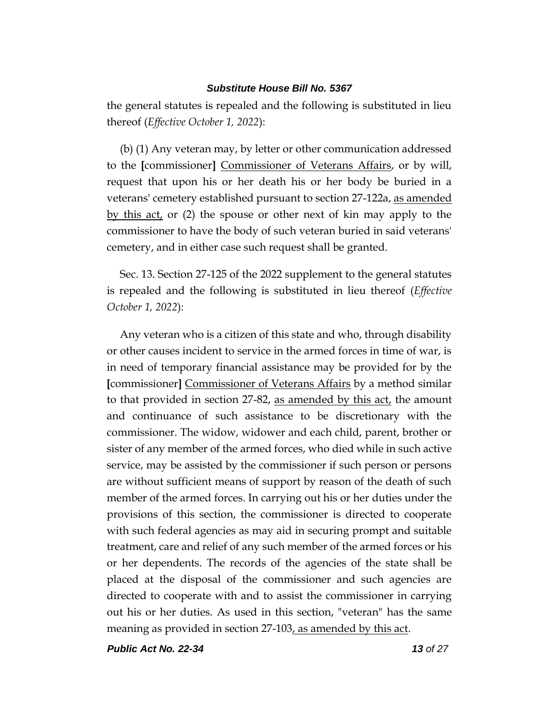the general statutes is repealed and the following is substituted in lieu thereof (*Effective October 1, 2022*):

(b) (1) Any veteran may, by letter or other communication addressed to the **[**commissioner**]** Commissioner of Veterans Affairs, or by will, request that upon his or her death his or her body be buried in a veterans' cemetery established pursuant to section 27-122a, as amended by this act, or (2) the spouse or other next of kin may apply to the commissioner to have the body of such veteran buried in said veterans' cemetery, and in either case such request shall be granted.

Sec. 13. Section 27-125 of the 2022 supplement to the general statutes is repealed and the following is substituted in lieu thereof (*Effective October 1, 2022*):

Any veteran who is a citizen of this state and who, through disability or other causes incident to service in the armed forces in time of war, is in need of temporary financial assistance may be provided for by the **[**commissioner**]** Commissioner of Veterans Affairs by a method similar to that provided in section 27-82, as amended by this act, the amount and continuance of such assistance to be discretionary with the commissioner. The widow, widower and each child, parent, brother or sister of any member of the armed forces, who died while in such active service, may be assisted by the commissioner if such person or persons are without sufficient means of support by reason of the death of such member of the armed forces. In carrying out his or her duties under the provisions of this section, the commissioner is directed to cooperate with such federal agencies as may aid in securing prompt and suitable treatment, care and relief of any such member of the armed forces or his or her dependents. The records of the agencies of the state shall be placed at the disposal of the commissioner and such agencies are directed to cooperate with and to assist the commissioner in carrying out his or her duties. As used in this section, "veteran" has the same meaning as provided in section 27-103, as amended by this act.

*Public Act No. 22-34 13 of 27*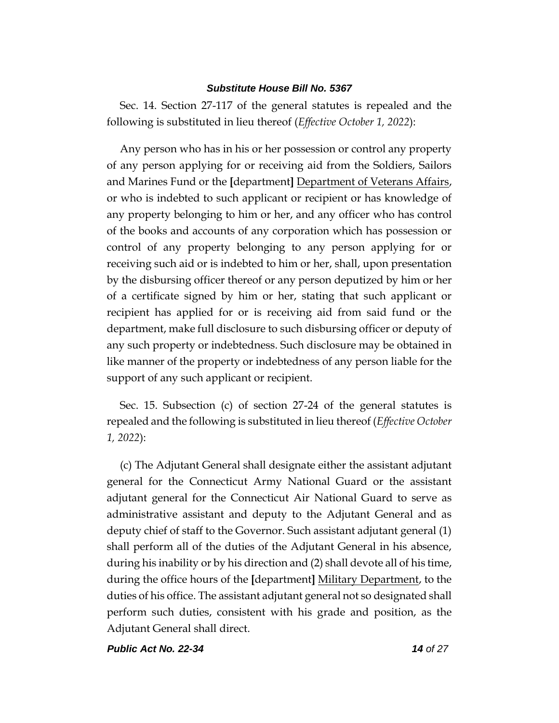Sec. 14. Section 27-117 of the general statutes is repealed and the following is substituted in lieu thereof (*Effective October 1, 2022*):

Any person who has in his or her possession or control any property of any person applying for or receiving aid from the Soldiers, Sailors and Marines Fund or the **[**department**]** Department of Veterans Affairs, or who is indebted to such applicant or recipient or has knowledge of any property belonging to him or her, and any officer who has control of the books and accounts of any corporation which has possession or control of any property belonging to any person applying for or receiving such aid or is indebted to him or her, shall, upon presentation by the disbursing officer thereof or any person deputized by him or her of a certificate signed by him or her, stating that such applicant or recipient has applied for or is receiving aid from said fund or the department, make full disclosure to such disbursing officer or deputy of any such property or indebtedness. Such disclosure may be obtained in like manner of the property or indebtedness of any person liable for the support of any such applicant or recipient.

Sec. 15. Subsection (c) of section 27-24 of the general statutes is repealed and the following is substituted in lieu thereof (*Effective October 1, 2022*):

(c) The Adjutant General shall designate either the assistant adjutant general for the Connecticut Army National Guard or the assistant adjutant general for the Connecticut Air National Guard to serve as administrative assistant and deputy to the Adjutant General and as deputy chief of staff to the Governor. Such assistant adjutant general (1) shall perform all of the duties of the Adjutant General in his absence, during his inability or by his direction and (2) shall devote all of his time, during the office hours of the **[**department**]** Military Department, to the duties of his office. The assistant adjutant general not so designated shall perform such duties, consistent with his grade and position, as the Adjutant General shall direct.

*Public Act No. 22-34 14 of 27*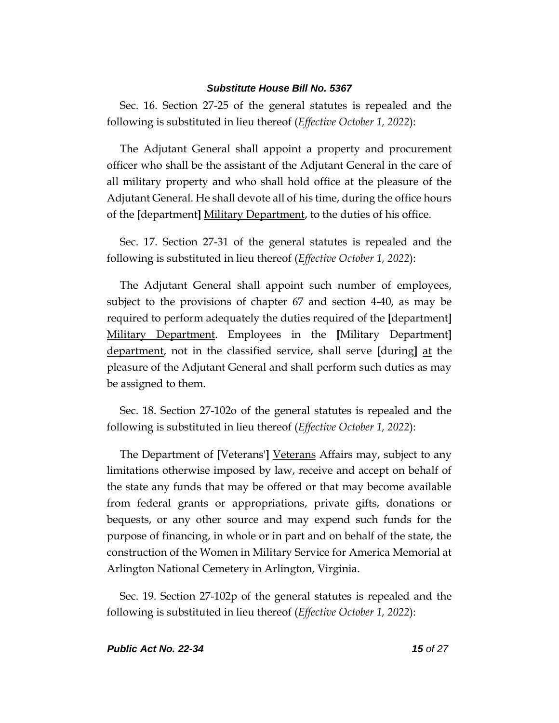Sec. 16. Section 27-25 of the general statutes is repealed and the following is substituted in lieu thereof (*Effective October 1, 2022*):

The Adjutant General shall appoint a property and procurement officer who shall be the assistant of the Adjutant General in the care of all military property and who shall hold office at the pleasure of the Adjutant General. He shall devote all of his time, during the office hours of the **[**department**]** Military Department, to the duties of his office.

Sec. 17. Section 27-31 of the general statutes is repealed and the following is substituted in lieu thereof (*Effective October 1, 2022*):

The Adjutant General shall appoint such number of employees, subject to the provisions of chapter 67 and section 4-40, as may be required to perform adequately the duties required of the **[**department**]** Military Department. Employees in the **[**Military Department**]** department, not in the classified service, shall serve **[**during**]** at the pleasure of the Adjutant General and shall perform such duties as may be assigned to them.

Sec. 18. Section 27-102o of the general statutes is repealed and the following is substituted in lieu thereof (*Effective October 1, 2022*):

The Department of **[**Veterans'**]** Veterans Affairs may, subject to any limitations otherwise imposed by law, receive and accept on behalf of the state any funds that may be offered or that may become available from federal grants or appropriations, private gifts, donations or bequests, or any other source and may expend such funds for the purpose of financing, in whole or in part and on behalf of the state, the construction of the Women in Military Service for America Memorial at Arlington National Cemetery in Arlington, Virginia.

Sec. 19. Section 27-102p of the general statutes is repealed and the following is substituted in lieu thereof (*Effective October 1, 2022*):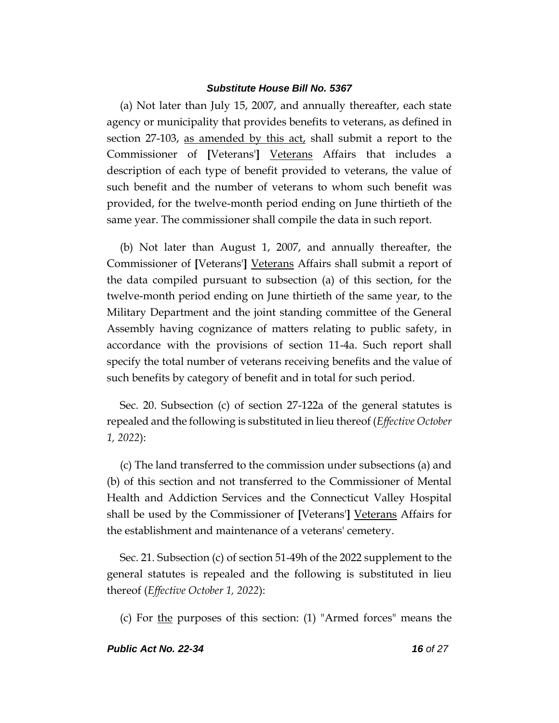(a) Not later than July 15, 2007, and annually thereafter, each state agency or municipality that provides benefits to veterans, as defined in section 27-103, as amended by this act, shall submit a report to the Commissioner of **[**Veterans'**]** Veterans Affairs that includes a description of each type of benefit provided to veterans, the value of such benefit and the number of veterans to whom such benefit was provided, for the twelve-month period ending on June thirtieth of the same year. The commissioner shall compile the data in such report.

(b) Not later than August 1, 2007, and annually thereafter, the Commissioner of **[**Veterans'**]** Veterans Affairs shall submit a report of the data compiled pursuant to subsection (a) of this section, for the twelve-month period ending on June thirtieth of the same year, to the Military Department and the joint standing committee of the General Assembly having cognizance of matters relating to public safety, in accordance with the provisions of section 11-4a. Such report shall specify the total number of veterans receiving benefits and the value of such benefits by category of benefit and in total for such period.

Sec. 20. Subsection (c) of section 27-122a of the general statutes is repealed and the following is substituted in lieu thereof (*Effective October 1, 2022*):

(c) The land transferred to the commission under subsections (a) and (b) of this section and not transferred to the Commissioner of Mental Health and Addiction Services and the Connecticut Valley Hospital shall be used by the Commissioner of **[**Veterans'**]** Veterans Affairs for the establishment and maintenance of a veterans' cemetery.

Sec. 21. Subsection (c) of section 51-49h of the 2022 supplement to the general statutes is repealed and the following is substituted in lieu thereof (*Effective October 1, 2022*):

(c) For the purposes of this section: (1) "Armed forces" means the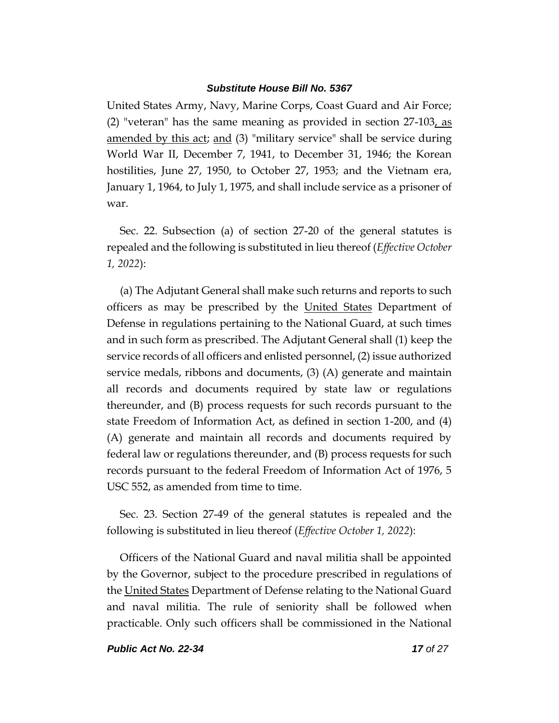United States Army, Navy, Marine Corps, Coast Guard and Air Force; (2) "veteran" has the same meaning as provided in section 27-103, as amended by this act; and (3) "military service" shall be service during World War II, December 7, 1941, to December 31, 1946; the Korean hostilities, June 27, 1950, to October 27, 1953; and the Vietnam era, January 1, 1964, to July 1, 1975, and shall include service as a prisoner of war.

Sec. 22. Subsection (a) of section 27-20 of the general statutes is repealed and the following is substituted in lieu thereof (*Effective October 1, 2022*):

(a) The Adjutant General shall make such returns and reports to such officers as may be prescribed by the United States Department of Defense in regulations pertaining to the National Guard, at such times and in such form as prescribed. The Adjutant General shall (1) keep the service records of all officers and enlisted personnel, (2) issue authorized service medals, ribbons and documents, (3) (A) generate and maintain all records and documents required by state law or regulations thereunder, and (B) process requests for such records pursuant to the state Freedom of Information Act, as defined in section 1-200, and (4) (A) generate and maintain all records and documents required by federal law or regulations thereunder, and (B) process requests for such records pursuant to the federal Freedom of Information Act of 1976, 5 USC 552, as amended from time to time.

Sec. 23. Section 27-49 of the general statutes is repealed and the following is substituted in lieu thereof (*Effective October 1, 2022*):

Officers of the National Guard and naval militia shall be appointed by the Governor, subject to the procedure prescribed in regulations of the United States Department of Defense relating to the National Guard and naval militia. The rule of seniority shall be followed when practicable. Only such officers shall be commissioned in the National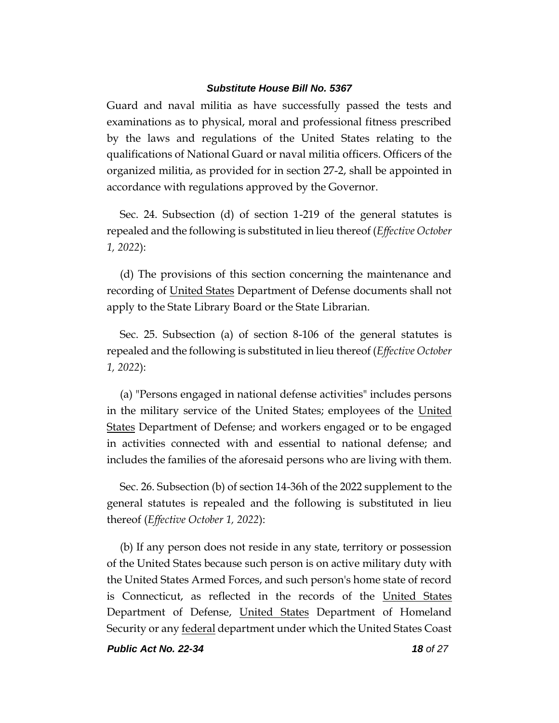Guard and naval militia as have successfully passed the tests and examinations as to physical, moral and professional fitness prescribed by the laws and regulations of the United States relating to the qualifications of National Guard or naval militia officers. Officers of the organized militia, as provided for in section 27-2, shall be appointed in accordance with regulations approved by the Governor.

Sec. 24. Subsection (d) of section 1-219 of the general statutes is repealed and the following is substituted in lieu thereof (*Effective October 1, 2022*):

(d) The provisions of this section concerning the maintenance and recording of United States Department of Defense documents shall not apply to the State Library Board or the State Librarian.

Sec. 25. Subsection (a) of section 8-106 of the general statutes is repealed and the following is substituted in lieu thereof (*Effective October 1, 2022*):

(a) "Persons engaged in national defense activities" includes persons in the military service of the United States; employees of the United States Department of Defense; and workers engaged or to be engaged in activities connected with and essential to national defense; and includes the families of the aforesaid persons who are living with them.

Sec. 26. Subsection (b) of section 14-36h of the 2022 supplement to the general statutes is repealed and the following is substituted in lieu thereof (*Effective October 1, 2022*):

(b) If any person does not reside in any state, territory or possession of the United States because such person is on active military duty with the United States Armed Forces, and such person's home state of record is Connecticut, as reflected in the records of the United States Department of Defense, United States Department of Homeland Security or any **federal** department under which the United States Coast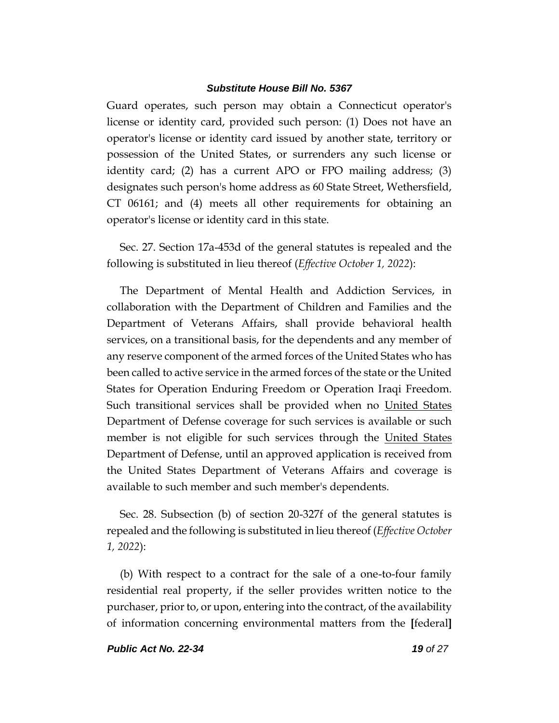Guard operates, such person may obtain a Connecticut operator's license or identity card, provided such person: (1) Does not have an operator's license or identity card issued by another state, territory or possession of the United States, or surrenders any such license or identity card; (2) has a current APO or FPO mailing address; (3) designates such person's home address as 60 State Street, Wethersfield, CT 06161; and (4) meets all other requirements for obtaining an operator's license or identity card in this state.

Sec. 27. Section 17a-453d of the general statutes is repealed and the following is substituted in lieu thereof (*Effective October 1, 2022*):

The Department of Mental Health and Addiction Services, in collaboration with the Department of Children and Families and the Department of Veterans Affairs, shall provide behavioral health services, on a transitional basis, for the dependents and any member of any reserve component of the armed forces of the United States who has been called to active service in the armed forces of the state or the United States for Operation Enduring Freedom or Operation Iraqi Freedom. Such transitional services shall be provided when no United States Department of Defense coverage for such services is available or such member is not eligible for such services through the United States Department of Defense, until an approved application is received from the United States Department of Veterans Affairs and coverage is available to such member and such member's dependents.

Sec. 28. Subsection (b) of section 20-327f of the general statutes is repealed and the following is substituted in lieu thereof (*Effective October 1, 2022*):

(b) With respect to a contract for the sale of a one-to-four family residential real property, if the seller provides written notice to the purchaser, prior to, or upon, entering into the contract, of the availability of information concerning environmental matters from the **[**federal**]**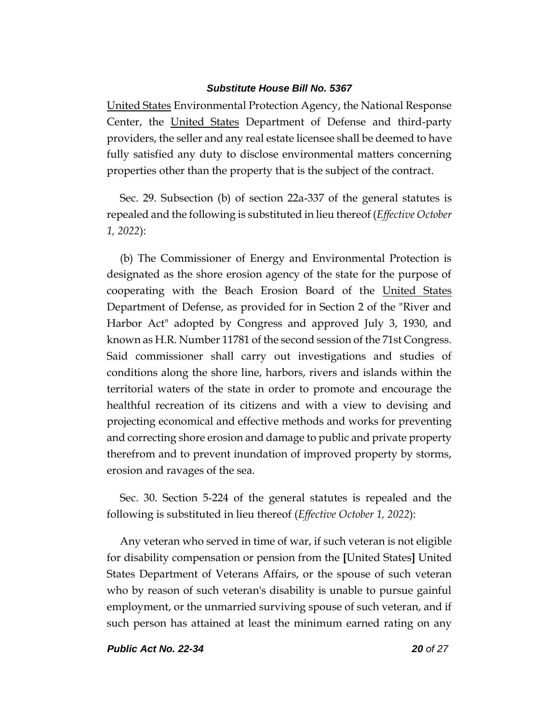United States Environmental Protection Agency, the National Response Center, the United States Department of Defense and third-party providers, the seller and any real estate licensee shall be deemed to have fully satisfied any duty to disclose environmental matters concerning properties other than the property that is the subject of the contract.

Sec. 29. Subsection (b) of section 22a-337 of the general statutes is repealed and the following is substituted in lieu thereof (*Effective October 1, 2022*):

(b) The Commissioner of Energy and Environmental Protection is designated as the shore erosion agency of the state for the purpose of cooperating with the Beach Erosion Board of the United States Department of Defense, as provided for in Section 2 of the "River and Harbor Act" adopted by Congress and approved July 3, 1930, and known as H.R. Number 11781 of the second session of the 71st Congress. Said commissioner shall carry out investigations and studies of conditions along the shore line, harbors, rivers and islands within the territorial waters of the state in order to promote and encourage the healthful recreation of its citizens and with a view to devising and projecting economical and effective methods and works for preventing and correcting shore erosion and damage to public and private property therefrom and to prevent inundation of improved property by storms, erosion and ravages of the sea.

Sec. 30. Section 5-224 of the general statutes is repealed and the following is substituted in lieu thereof (*Effective October 1, 2022*):

Any veteran who served in time of war, if such veteran is not eligible for disability compensation or pension from the **[**United States**]** United States Department of Veterans Affairs, or the spouse of such veteran who by reason of such veteran's disability is unable to pursue gainful employment, or the unmarried surviving spouse of such veteran, and if such person has attained at least the minimum earned rating on any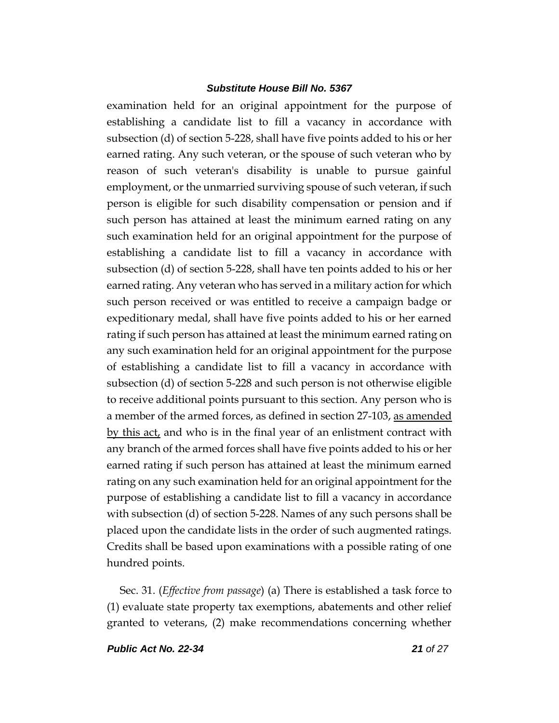examination held for an original appointment for the purpose of establishing a candidate list to fill a vacancy in accordance with subsection (d) of section 5-228, shall have five points added to his or her earned rating. Any such veteran, or the spouse of such veteran who by reason of such veteran's disability is unable to pursue gainful employment, or the unmarried surviving spouse of such veteran, if such person is eligible for such disability compensation or pension and if such person has attained at least the minimum earned rating on any such examination held for an original appointment for the purpose of establishing a candidate list to fill a vacancy in accordance with subsection (d) of section 5-228, shall have ten points added to his or her earned rating. Any veteran who has served in a military action for which such person received or was entitled to receive a campaign badge or expeditionary medal, shall have five points added to his or her earned rating if such person has attained at least the minimum earned rating on any such examination held for an original appointment for the purpose of establishing a candidate list to fill a vacancy in accordance with subsection (d) of section 5-228 and such person is not otherwise eligible to receive additional points pursuant to this section. Any person who is a member of the armed forces, as defined in section 27-103, as amended by this act, and who is in the final year of an enlistment contract with any branch of the armed forces shall have five points added to his or her earned rating if such person has attained at least the minimum earned rating on any such examination held for an original appointment for the purpose of establishing a candidate list to fill a vacancy in accordance with subsection (d) of section 5-228. Names of any such persons shall be placed upon the candidate lists in the order of such augmented ratings. Credits shall be based upon examinations with a possible rating of one hundred points.

Sec. 31. (*Effective from passage*) (a) There is established a task force to (1) evaluate state property tax exemptions, abatements and other relief granted to veterans, (2) make recommendations concerning whether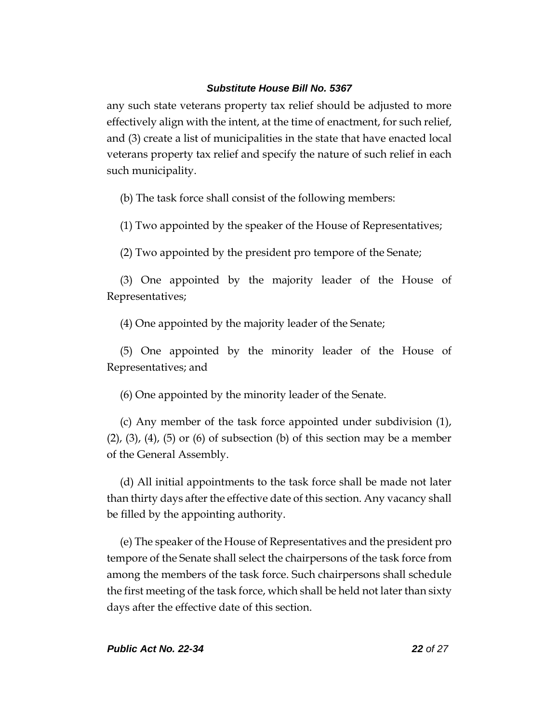any such state veterans property tax relief should be adjusted to more effectively align with the intent, at the time of enactment, for such relief, and (3) create a list of municipalities in the state that have enacted local veterans property tax relief and specify the nature of such relief in each such municipality.

(b) The task force shall consist of the following members:

(1) Two appointed by the speaker of the House of Representatives;

(2) Two appointed by the president pro tempore of the Senate;

(3) One appointed by the majority leader of the House of Representatives;

(4) One appointed by the majority leader of the Senate;

(5) One appointed by the minority leader of the House of Representatives; and

(6) One appointed by the minority leader of the Senate.

(c) Any member of the task force appointed under subdivision (1),  $(2)$ ,  $(3)$ ,  $(4)$ ,  $(5)$  or  $(6)$  of subsection  $(b)$  of this section may be a member of the General Assembly.

(d) All initial appointments to the task force shall be made not later than thirty days after the effective date of this section. Any vacancy shall be filled by the appointing authority.

(e) The speaker of the House of Representatives and the president pro tempore of the Senate shall select the chairpersons of the task force from among the members of the task force. Such chairpersons shall schedule the first meeting of the task force, which shall be held not later than sixty days after the effective date of this section.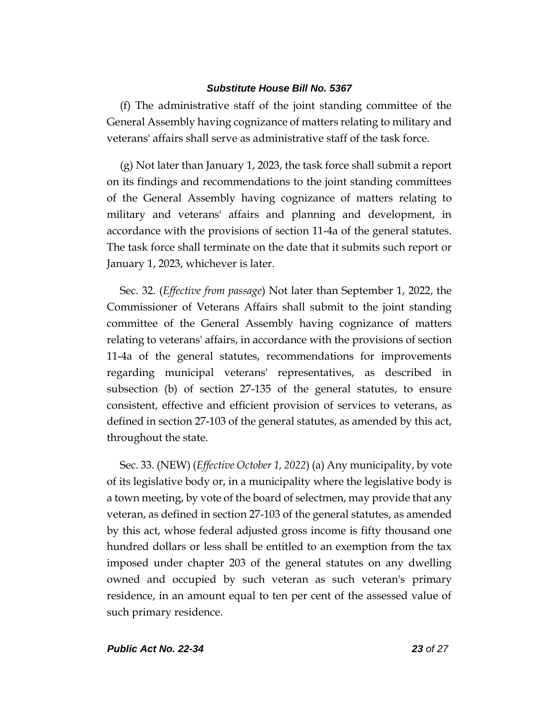(f) The administrative staff of the joint standing committee of the General Assembly having cognizance of matters relating to military and veterans' affairs shall serve as administrative staff of the task force.

(g) Not later than January 1, 2023, the task force shall submit a report on its findings and recommendations to the joint standing committees of the General Assembly having cognizance of matters relating to military and veterans' affairs and planning and development, in accordance with the provisions of section 11-4a of the general statutes. The task force shall terminate on the date that it submits such report or January 1, 2023, whichever is later.

Sec. 32. (*Effective from passage*) Not later than September 1, 2022, the Commissioner of Veterans Affairs shall submit to the joint standing committee of the General Assembly having cognizance of matters relating to veterans' affairs, in accordance with the provisions of section 11-4a of the general statutes, recommendations for improvements regarding municipal veterans' representatives, as described in subsection (b) of section 27-135 of the general statutes, to ensure consistent, effective and efficient provision of services to veterans, as defined in section 27-103 of the general statutes, as amended by this act, throughout the state.

Sec. 33. (NEW) (*Effective October 1, 2022*) (a) Any municipality, by vote of its legislative body or, in a municipality where the legislative body is a town meeting, by vote of the board of selectmen, may provide that any veteran, as defined in section 27-103 of the general statutes, as amended by this act, whose federal adjusted gross income is fifty thousand one hundred dollars or less shall be entitled to an exemption from the tax imposed under chapter 203 of the general statutes on any dwelling owned and occupied by such veteran as such veteran's primary residence, in an amount equal to ten per cent of the assessed value of such primary residence.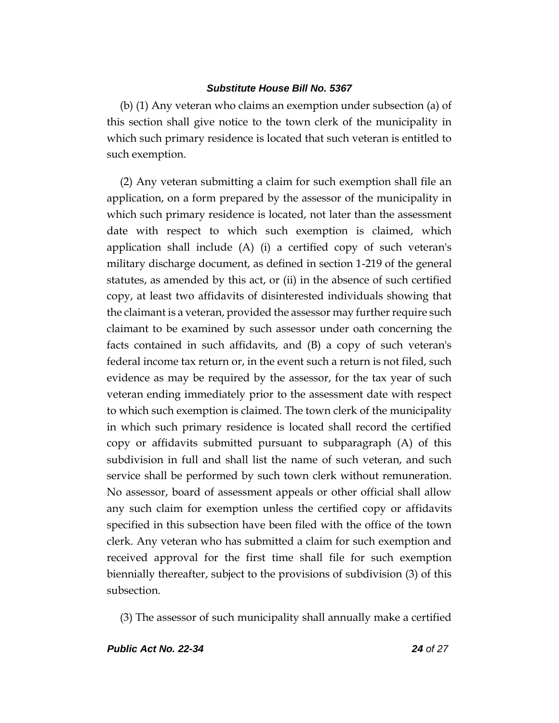(b) (1) Any veteran who claims an exemption under subsection (a) of this section shall give notice to the town clerk of the municipality in which such primary residence is located that such veteran is entitled to such exemption.

(2) Any veteran submitting a claim for such exemption shall file an application, on a form prepared by the assessor of the municipality in which such primary residence is located, not later than the assessment date with respect to which such exemption is claimed, which application shall include (A) (i) a certified copy of such veteran's military discharge document, as defined in section 1-219 of the general statutes, as amended by this act, or (ii) in the absence of such certified copy, at least two affidavits of disinterested individuals showing that the claimant is a veteran, provided the assessor may further require such claimant to be examined by such assessor under oath concerning the facts contained in such affidavits, and (B) a copy of such veteran's federal income tax return or, in the event such a return is not filed, such evidence as may be required by the assessor, for the tax year of such veteran ending immediately prior to the assessment date with respect to which such exemption is claimed. The town clerk of the municipality in which such primary residence is located shall record the certified copy or affidavits submitted pursuant to subparagraph (A) of this subdivision in full and shall list the name of such veteran, and such service shall be performed by such town clerk without remuneration. No assessor, board of assessment appeals or other official shall allow any such claim for exemption unless the certified copy or affidavits specified in this subsection have been filed with the office of the town clerk. Any veteran who has submitted a claim for such exemption and received approval for the first time shall file for such exemption biennially thereafter, subject to the provisions of subdivision (3) of this subsection.

(3) The assessor of such municipality shall annually make a certified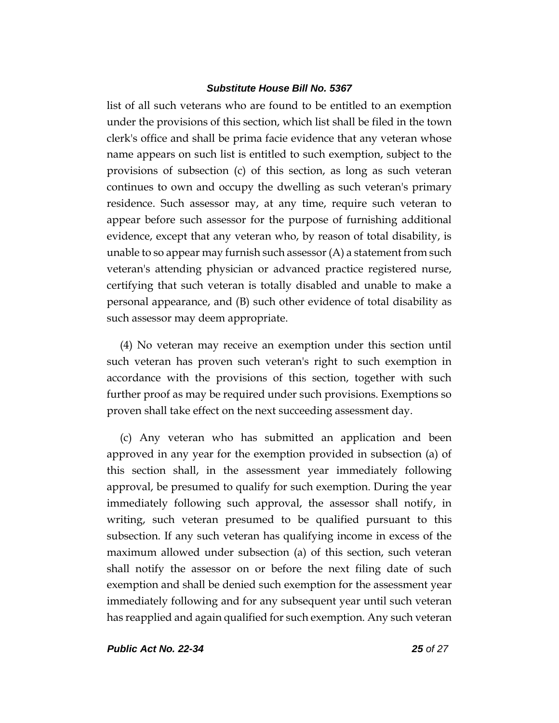list of all such veterans who are found to be entitled to an exemption under the provisions of this section, which list shall be filed in the town clerk's office and shall be prima facie evidence that any veteran whose name appears on such list is entitled to such exemption, subject to the provisions of subsection (c) of this section, as long as such veteran continues to own and occupy the dwelling as such veteran's primary residence. Such assessor may, at any time, require such veteran to appear before such assessor for the purpose of furnishing additional evidence, except that any veteran who, by reason of total disability, is unable to so appear may furnish such assessor  $(A)$  a statement from such veteran's attending physician or advanced practice registered nurse, certifying that such veteran is totally disabled and unable to make a personal appearance, and (B) such other evidence of total disability as such assessor may deem appropriate.

(4) No veteran may receive an exemption under this section until such veteran has proven such veteran's right to such exemption in accordance with the provisions of this section, together with such further proof as may be required under such provisions. Exemptions so proven shall take effect on the next succeeding assessment day.

(c) Any veteran who has submitted an application and been approved in any year for the exemption provided in subsection (a) of this section shall, in the assessment year immediately following approval, be presumed to qualify for such exemption. During the year immediately following such approval, the assessor shall notify, in writing, such veteran presumed to be qualified pursuant to this subsection. If any such veteran has qualifying income in excess of the maximum allowed under subsection (a) of this section, such veteran shall notify the assessor on or before the next filing date of such exemption and shall be denied such exemption for the assessment year immediately following and for any subsequent year until such veteran has reapplied and again qualified for such exemption. Any such veteran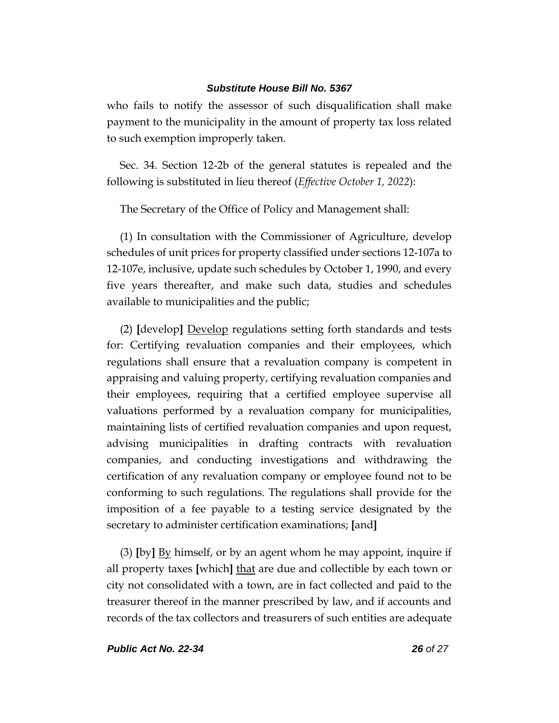who fails to notify the assessor of such disqualification shall make payment to the municipality in the amount of property tax loss related to such exemption improperly taken.

Sec. 34. Section 12-2b of the general statutes is repealed and the following is substituted in lieu thereof (*Effective October 1, 2022*):

The Secretary of the Office of Policy and Management shall:

(1) In consultation with the Commissioner of Agriculture, develop schedules of unit prices for property classified under sections 12-107a to 12-107e, inclusive, update such schedules by October 1, 1990, and every five years thereafter, and make such data, studies and schedules available to municipalities and the public;

(2) **[**develop**]** Develop regulations setting forth standards and tests for: Certifying revaluation companies and their employees, which regulations shall ensure that a revaluation company is competent in appraising and valuing property, certifying revaluation companies and their employees, requiring that a certified employee supervise all valuations performed by a revaluation company for municipalities, maintaining lists of certified revaluation companies and upon request, advising municipalities in drafting contracts with revaluation companies, and conducting investigations and withdrawing the certification of any revaluation company or employee found not to be conforming to such regulations. The regulations shall provide for the imposition of a fee payable to a testing service designated by the secretary to administer certification examinations; **[**and**]**

(3) **[**by**]** By himself, or by an agent whom he may appoint, inquire if all property taxes **[**which**]** that are due and collectible by each town or city not consolidated with a town, are in fact collected and paid to the treasurer thereof in the manner prescribed by law, and if accounts and records of the tax collectors and treasurers of such entities are adequate